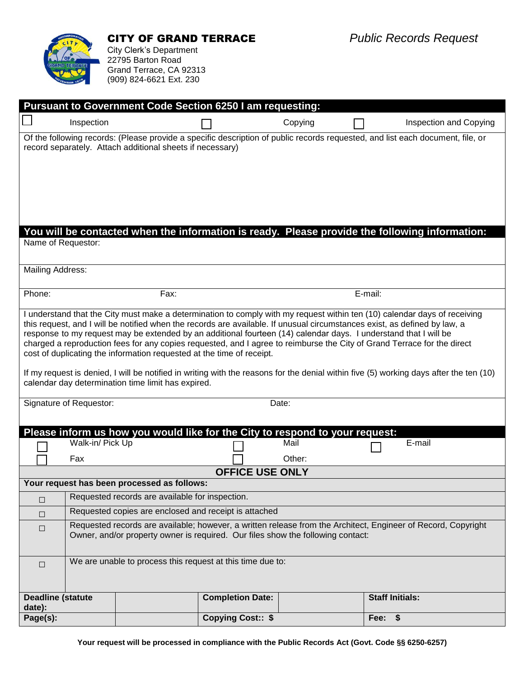

Grand Terrace, CA 92313 (909) 824-6621 Ext. 230

| <b>Pursuant to Government Code Section 6250 I am requesting:</b>                                                                                                                                                                              |                                                                                 |                         |         |                        |                               |  |
|-----------------------------------------------------------------------------------------------------------------------------------------------------------------------------------------------------------------------------------------------|---------------------------------------------------------------------------------|-------------------------|---------|------------------------|-------------------------------|--|
| Inspection                                                                                                                                                                                                                                    |                                                                                 |                         | Copying |                        | <b>Inspection and Copying</b> |  |
| Of the following records: (Please provide a specific description of public records requested, and list each document, file, or                                                                                                                |                                                                                 |                         |         |                        |                               |  |
| record separately. Attach additional sheets if necessary)                                                                                                                                                                                     |                                                                                 |                         |         |                        |                               |  |
|                                                                                                                                                                                                                                               |                                                                                 |                         |         |                        |                               |  |
|                                                                                                                                                                                                                                               |                                                                                 |                         |         |                        |                               |  |
|                                                                                                                                                                                                                                               |                                                                                 |                         |         |                        |                               |  |
|                                                                                                                                                                                                                                               |                                                                                 |                         |         |                        |                               |  |
| You will be contacted when the information is ready. Please provide the following information:                                                                                                                                                |                                                                                 |                         |         |                        |                               |  |
| Name of Requestor:                                                                                                                                                                                                                            |                                                                                 |                         |         |                        |                               |  |
| Mailing Address:                                                                                                                                                                                                                              |                                                                                 |                         |         |                        |                               |  |
|                                                                                                                                                                                                                                               |                                                                                 |                         |         |                        |                               |  |
| Phone:                                                                                                                                                                                                                                        | Fax:                                                                            |                         |         | E-mail:                |                               |  |
| I understand that the City must make a determination to comply with my request within ten (10) calendar days of receiving                                                                                                                     |                                                                                 |                         |         |                        |                               |  |
| this request, and I will be notified when the records are available. If unusual circumstances exist, as defined by law, a<br>response to my request may be extended by an additional fourteen (14) calendar days. I understand that I will be |                                                                                 |                         |         |                        |                               |  |
| charged a reproduction fees for any copies requested, and I agree to reimburse the City of Grand Terrace for the direct                                                                                                                       |                                                                                 |                         |         |                        |                               |  |
| cost of duplicating the information requested at the time of receipt.                                                                                                                                                                         |                                                                                 |                         |         |                        |                               |  |
| If my request is denied, I will be notified in writing with the reasons for the denial within five (5) working days after the ten (10)<br>calendar day determination time limit has expired.                                                  |                                                                                 |                         |         |                        |                               |  |
| Signature of Requestor:                                                                                                                                                                                                                       |                                                                                 |                         | Date:   |                        |                               |  |
|                                                                                                                                                                                                                                               |                                                                                 |                         |         |                        |                               |  |
| Please inform us how you would like for the City to respond to your request:                                                                                                                                                                  |                                                                                 |                         |         |                        |                               |  |
| Walk-in/ Pick Up                                                                                                                                                                                                                              |                                                                                 |                         | Mail    | E-mail                 |                               |  |
| Fax                                                                                                                                                                                                                                           |                                                                                 |                         | Other:  |                        |                               |  |
| <b>OFFICE USE ONLY</b>                                                                                                                                                                                                                        |                                                                                 |                         |         |                        |                               |  |
| Your request has been processed as follows:<br>Requested records are available for inspection.                                                                                                                                                |                                                                                 |                         |         |                        |                               |  |
| $\Box$                                                                                                                                                                                                                                        | Requested copies are enclosed and receipt is attached                           |                         |         |                        |                               |  |
| $\Box$<br>Requested records are available; however, a written release from the Architect, Engineer of Record, Copyright                                                                                                                       |                                                                                 |                         |         |                        |                               |  |
| $\Box$                                                                                                                                                                                                                                        | Owner, and/or property owner is required. Our files show the following contact: |                         |         |                        |                               |  |
| We are unable to process this request at this time due to:<br>$\Box$                                                                                                                                                                          |                                                                                 |                         |         |                        |                               |  |
|                                                                                                                                                                                                                                               |                                                                                 |                         |         |                        |                               |  |
|                                                                                                                                                                                                                                               |                                                                                 | <b>Completion Date:</b> |         |                        |                               |  |
| <b>Deadline (statute</b><br>date):                                                                                                                                                                                                            |                                                                                 |                         |         | <b>Staff Initials:</b> |                               |  |